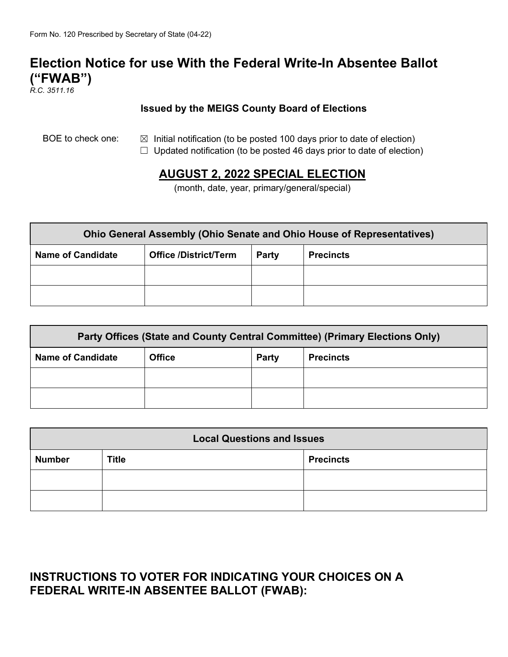# **Election Notice for use With the Federal Write-In Absentee Ballot ("FWAB")**

*R.C. 3511.16*

#### **Issued by the MEIGS County Board of Elections**

- BOE to check one:  $\boxtimes$  Initial notification (to be posted 100 days prior to date of election)
	- $\Box$  Updated notification (to be posted 46 days prior to date of election)

## **AUGUST 2, 2022 SPECIAL ELECTION**

(month, date, year, primary/general/special)

| <b>Ohio General Assembly (Ohio Senate and Ohio House of Representatives)</b> |                              |       |                  |  |  |
|------------------------------------------------------------------------------|------------------------------|-------|------------------|--|--|
| <b>Name of Candidate</b>                                                     | <b>Office /District/Term</b> | Party | <b>Precincts</b> |  |  |
|                                                                              |                              |       |                  |  |  |
|                                                                              |                              |       |                  |  |  |

| Party Offices (State and County Central Committee) (Primary Elections Only) |               |       |                  |  |  |
|-----------------------------------------------------------------------------|---------------|-------|------------------|--|--|
| <b>Name of Candidate</b>                                                    | <b>Office</b> | Party | <b>Precincts</b> |  |  |
|                                                                             |               |       |                  |  |  |
|                                                                             |               |       |                  |  |  |

| <b>Local Questions and Issues</b> |              |                  |  |  |
|-----------------------------------|--------------|------------------|--|--|
| <b>Number</b>                     | <b>Title</b> | <b>Precincts</b> |  |  |
|                                   |              |                  |  |  |
|                                   |              |                  |  |  |

### **INSTRUCTIONS TO VOTER FOR INDICATING YOUR CHOICES ON A FEDERAL WRITE-IN ABSENTEE BALLOT (FWAB):**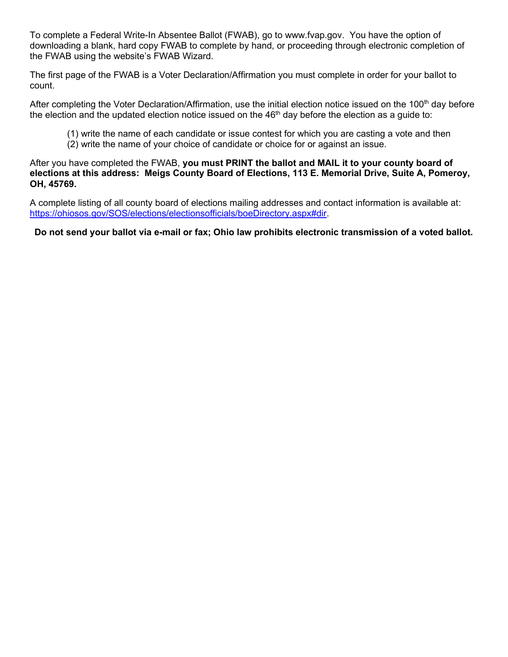To complete a Federal Write-In Absentee Ballot (FWAB), go to www.fvap.gov. You have the option of downloading a blank, hard copy FWAB to complete by hand, or proceeding through electronic completion of the FWAB using the website's FWAB Wizard.

The first page of the FWAB is a Voter Declaration/Affirmation you must complete in order for your ballot to count.

After completing the Voter Declaration/Affirmation, use the initial election notice issued on the 100<sup>th</sup> day before the election and the updated election notice issued on the  $46<sup>th</sup>$  day before the election as a guide to:

- (1) write the name of each candidate or issue contest for which you are casting a vote and then
- (2) write the name of your choice of candidate or choice for or against an issue.

After you have completed the FWAB, **you must PRINT the ballot and MAIL it to your county board of elections at this address: Meigs County Board of Elections, 113 E. Memorial Drive, Suite A, Pomeroy, OH, 45769.** 

A complete listing of all county board of elections mailing addresses and contact information is available at: https://ohiosos.gov/SOS/elections/electionsofficials/boeDirectory.aspx#dir.

**Do not send your ballot via e-mail or fax; Ohio law prohibits electronic transmission of a voted ballot.**